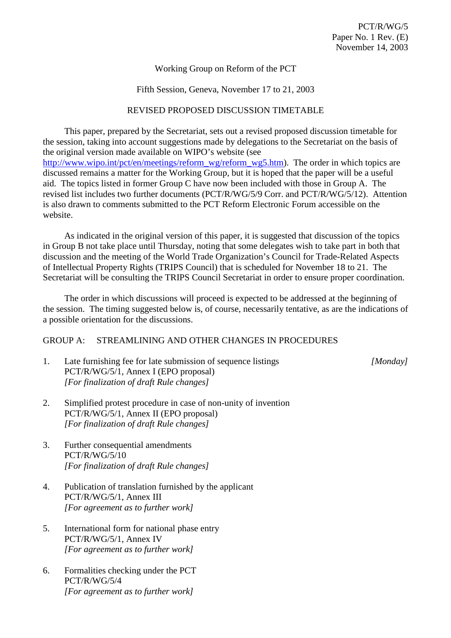# Working Group on Reform of the PCT

## Fifth Session, Geneva, November 17 to 21, 2003

#### REVISED PROPOSED DISCUSSION TIMETABLE

This paper, prepared by the Secretariat, sets out a revised proposed discussion timetable for the session, taking into account suggestions made by delegations to the Secretariat on the basis of the original version made available on WIPO's website (see http://www.wipo.int/pct/en/meetings/reform\_wg/reform\_wg5.htm). The order in which topics are discussed remains a matter for the Working Group, but it is hoped that the paper will be a useful aid. The topics listed in former Group C have now been included with those in Group A. The revised list includes two further documents (PCT/R/WG/5/9 Corr. and PCT/R/WG/5/12). Attention is also drawn to comments submitted to the PCT Reform Electronic Forum accessible on the website.

As indicated in the original version of this paper, it is suggested that discussion of the topics in Group B not take place until Thursday, noting that some delegates wish to take part in both that discussion and the meeting of the World Trade Organization's Council for Trade-Related Aspects of Intellectual Property Rights (TRIPS Council) that is scheduled for November 18 to 21. The Secretariat will be consulting the TRIPS Council Secretariat in order to ensure proper coordination.

The order in which discussions will proceed is expected to be addressed at the beginning of the session. The timing suggested below is, of course, necessarily tentative, as are the indications of a possible orientation for the discussions.

## GROUP A: STREAMLINING AND OTHER CHANGES IN PROCEDURES

1. Late furnishing fee for late submission of sequence listings *[Monday]* PCT/R/WG/5/1, Annex I (EPO proposal) *[For finalization of draft Rule changes]*

- 2. Simplified protest procedure in case of non-unity of invention PCT/R/WG/5/1, Annex II (EPO proposal) *[For finalization of draft Rule changes]*
- 3. Further consequential amendments PCT/R/WG/5/10 *[For finalization of draft Rule changes]*
- 4. Publication of translation furnished by the applicant PCT/R/WG/5/1, Annex III *[For agreement as to further work]*
- 5. International form for national phase entry PCT/R/WG/5/1, Annex IV *[For agreement as to further work]*
- 6. Formalities checking under the PCT PCT/R/WG/5/4 *[For agreement as to further work]*